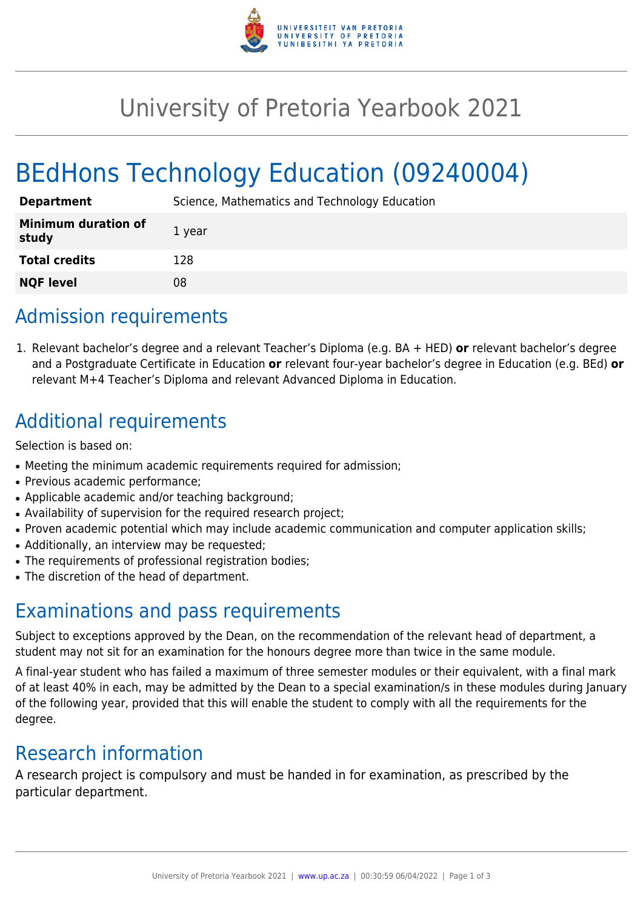

## University of Pretoria Yearbook 2021

# BEdHons Technology Education (09240004)

| <b>Department</b>                   | Science, Mathematics and Technology Education |
|-------------------------------------|-----------------------------------------------|
| <b>Minimum duration of</b><br>study | 1 year                                        |
| <b>Total credits</b>                | 128                                           |
| <b>NQF level</b>                    | 08                                            |

## Admission requirements

1. Relevant bachelor's degree and a relevant Teacher's Diploma (e.g. BA + HED) **or** relevant bachelor's degree and a Postgraduate Certificate in Education **or** relevant four-year bachelor's degree in Education (e.g. BEd) **or** relevant M+4 Teacher's Diploma and relevant Advanced Diploma in Education.

## Additional requirements

Selection is based on:

- Meeting the minimum academic requirements required for admission;
- Previous academic performance:
- Applicable academic and/or teaching background;
- Availability of supervision for the required research project;
- Proven academic potential which may include academic communication and computer application skills;
- Additionally, an interview may be requested;
- The requirements of professional registration bodies;
- The discretion of the head of department.

## Examinations and pass requirements

Subject to exceptions approved by the Dean, on the recommendation of the relevant head of department, a student may not sit for an examination for the honours degree more than twice in the same module.

A final-year student who has failed a maximum of three semester modules or their equivalent, with a final mark of at least 40% in each, may be admitted by the Dean to a special examination/s in these modules during January of the following year, provided that this will enable the student to comply with all the requirements for the degree.

#### Research information

A research project is compulsory and must be handed in for examination, as prescribed by the particular department.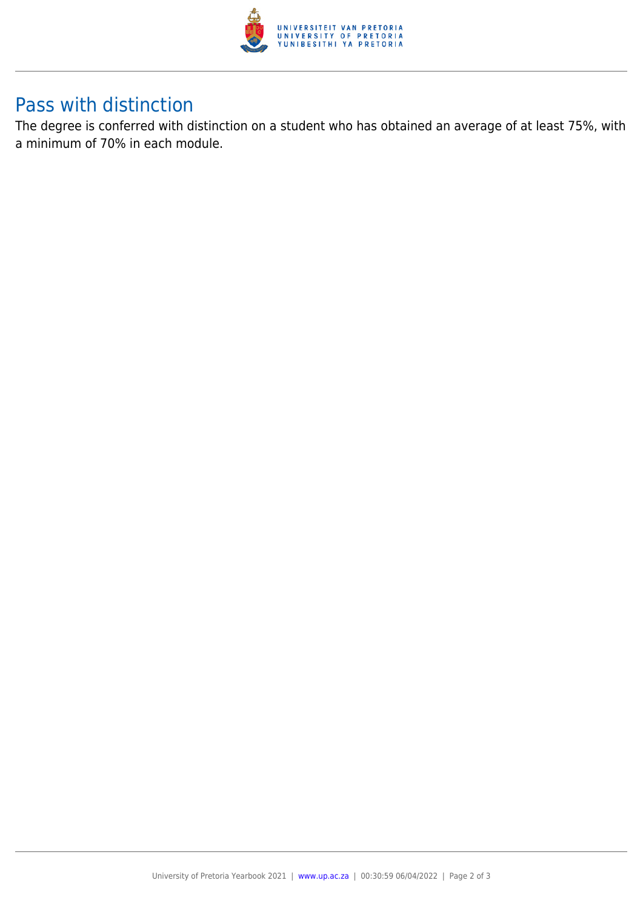

#### Pass with distinction

The degree is conferred with distinction on a student who has obtained an average of at least 75%, with a minimum of 70% in each module.